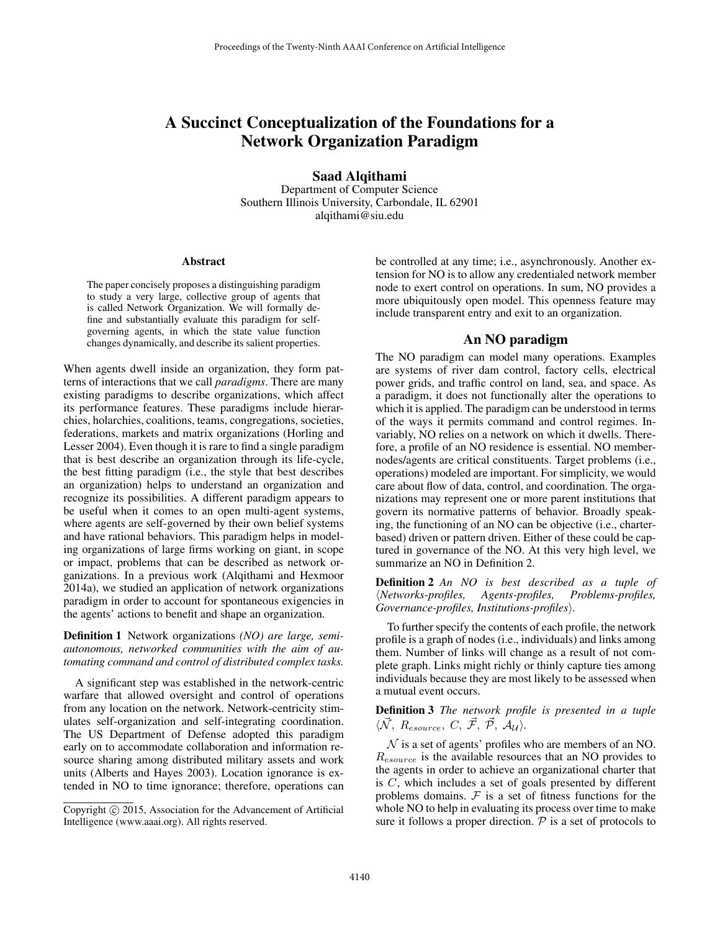# A Succinct Conceptualization of the Foundations for a Network Organization Paradigm

Saad Alqithami

Department of Computer Science Southern Illinois University, Carbondale, IL 62901 alqithami@siu.edu

#### Abstract

The paper concisely proposes a distinguishing paradigm to study a very large, collective group of agents that is called Network Organization. We will formally define and substantially evaluate this paradigm for selfgoverning agents, in which the state value function changes dynamically, and describe its salient properties.

When agents dwell inside an organization, they form patterns of interactions that we call *paradigms*. There are many existing paradigms to describe organizations, which affect its performance features. These paradigms include hierarchies, holarchies, coalitions, teams, congregations, societies, federations, markets and matrix organizations (Horling and Lesser 2004). Even though it is rare to find a single paradigm that is best describe an organization through its life-cycle, the best fitting paradigm (i.e., the style that best describes an organization) helps to understand an organization and recognize its possibilities. A different paradigm appears to be useful when it comes to an open multi-agent systems, where agents are self-governed by their own belief systems and have rational behaviors. This paradigm helps in modeling organizations of large firms working on giant, in scope or impact, problems that can be described as network organizations. In a previous work (Alqithami and Hexmoor 2014a), we studied an application of network organizations paradigm in order to account for spontaneous exigencies in the agents' actions to benefit and shape an organization.

Definition 1 Network organizations *(NO) are large, semiautonomous, networked communities with the aim of automating command and control of distributed complex tasks.*

A significant step was established in the network-centric warfare that allowed oversight and control of operations from any location on the network. Network-centricity stimulates self-organization and self-integrating coordination. The US Department of Defense adopted this paradigm early on to accommodate collaboration and information resource sharing among distributed military assets and work units (Alberts and Hayes 2003). Location ignorance is extended in NO to time ignorance; therefore, operations can be controlled at any time; i.e., asynchronously. Another extension for NO is to allow any credentialed network member node to exert control on operations. In sum, NO provides a more ubiquitously open model. This openness feature may include transparent entry and exit to an organization.

#### An NO paradigm

The NO paradigm can model many operations. Examples are systems of river dam control, factory cells, electrical power grids, and traffic control on land, sea, and space. As a paradigm, it does not functionally alter the operations to which it is applied. The paradigm can be understood in terms of the ways it permits command and control regimes. Invariably, NO relies on a network on which it dwells. Therefore, a profile of an NO residence is essential. NO membernodes/agents are critical constituents. Target problems (i.e., operations) modeled are important. For simplicity, we would care about flow of data, control, and coordination. The organizations may represent one or more parent institutions that govern its normative patterns of behavior. Broadly speaking, the functioning of an NO can be objective (i.e., charterbased) driven or pattern driven. Either of these could be captured in governance of the NO. At this very high level, we summarize an NO in Definition 2.

Definition 2 *An NO is best described as a tuple of* h*Networks-profiles, Agents-profiles, Problems-profiles, Governance-profiles, Institutions-profiles*).

To further specify the contents of each profile, the network profile is a graph of nodes (i.e., individuals) and links among them. Number of links will change as a result of not complete graph. Links might richly or thinly capture ties among individuals because they are most likely to be assessed when a mutual event occurs.

### Definition 3 *The network profile is presented in a tuple*  $\langle \vec{\mathcal{N}}, R_{esource}, C, \vec{\mathcal{F}}, \vec{\mathcal{P}}, \mathcal{A}_{\mathcal{U}} \rangle$ .

 $N$  is a set of agents' profiles who are members of an NO. Resource is the available resources that an NO provides to the agents in order to achieve an organizational charter that is  $C$ , which includes a set of goals presented by different problems domains.  $F$  is a set of fitness functions for the whole NO to help in evaluating its process over time to make sure it follows a proper direction.  $P$  is a set of protocols to

Copyright (c) 2015, Association for the Advancement of Artificial Intelligence (www.aaai.org). All rights reserved.